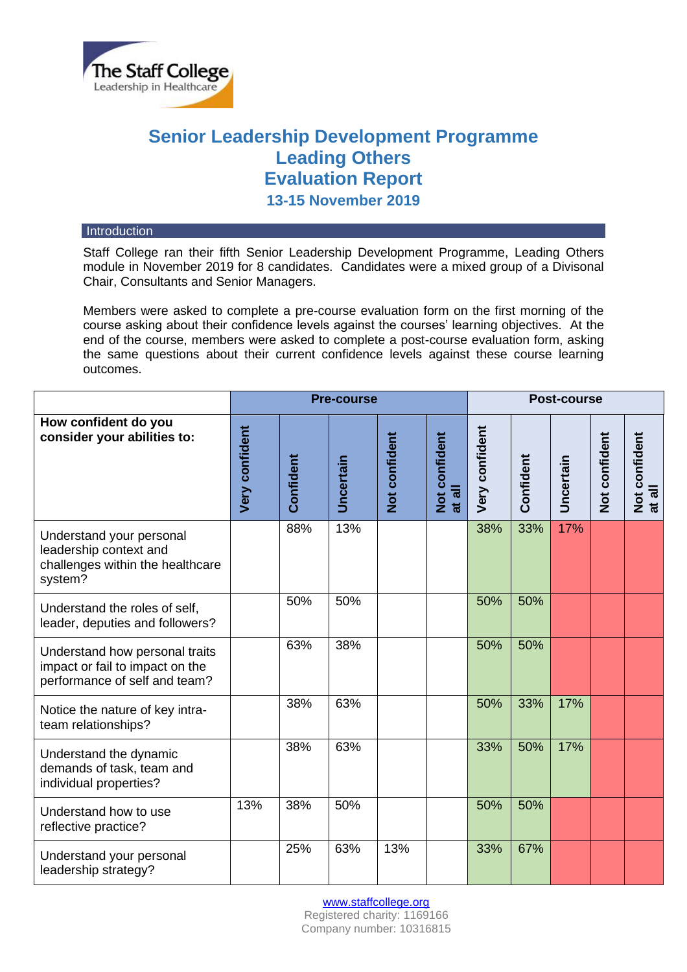

# **Senior Leadership Development Programme Leading Others Evaluation Report 13-15 November 2019**

#### **Introduction**

Staff College ran their fifth Senior Leadership Development Programme, Leading Others module in November 2019 for 8 candidates. Candidates were a mixed group of a Divisonal Chair, Consultants and Senior Managers.

Members were asked to complete a pre-course evaluation form on the first morning of the course asking about their confidence levels against the courses' learning objectives. At the end of the course, members were asked to complete a post-course evaluation form, asking the same questions about their current confidence levels against these course learning outcomes.

|                                                                                                    | <b>Pre-course</b>     |           |           |               |                         | <b>Post-course</b> |           |           |               |                         |
|----------------------------------------------------------------------------------------------------|-----------------------|-----------|-----------|---------------|-------------------------|--------------------|-----------|-----------|---------------|-------------------------|
| How confident do you<br>consider your abilities to:                                                | <b>Very confident</b> | Confident | Uncertain | Not confident | Not confident<br>at all | Very confident     | Confident | Uncertain | Not confident | Not confident<br>at all |
| Understand your personal<br>leadership context and<br>challenges within the healthcare<br>system?  |                       | 88%       | 13%       |               |                         | 38%                | 33%       | 17%       |               |                         |
| Understand the roles of self,<br>leader, deputies and followers?                                   |                       | 50%       | 50%       |               |                         | 50%                | 50%       |           |               |                         |
| Understand how personal traits<br>impact or fail to impact on the<br>performance of self and team? |                       | 63%       | 38%       |               |                         | 50%                | 50%       |           |               |                         |
| Notice the nature of key intra-<br>team relationships?                                             |                       | 38%       | 63%       |               |                         | 50%                | 33%       | 17%       |               |                         |
| Understand the dynamic<br>demands of task, team and<br>individual properties?                      |                       | 38%       | 63%       |               |                         | 33%                | 50%       | 17%       |               |                         |
| Understand how to use<br>reflective practice?                                                      | 13%                   | 38%       | 50%       |               |                         | 50%                | 50%       |           |               |                         |
| Understand your personal<br>leadership strategy?                                                   |                       | 25%       | 63%       | 13%           |                         | 33%                | 67%       |           |               |                         |

[www.staffcollege.org](http://www.staffcollege.org/)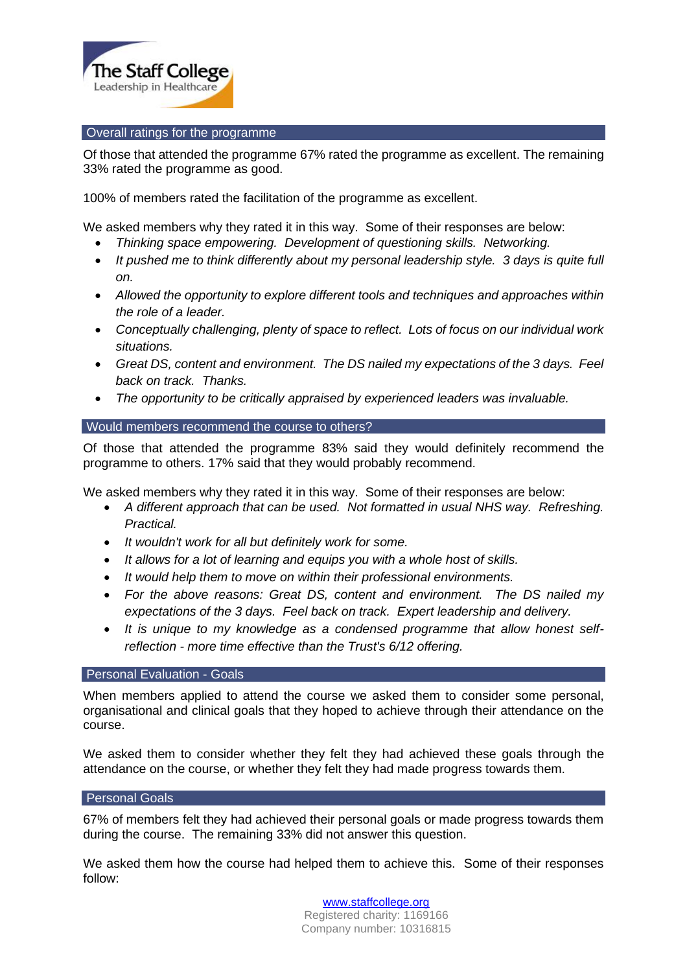

## Overall ratings for the programme

Of those that attended the programme 67% rated the programme as excellent. The remaining 33% rated the programme as good.

100% of members rated the facilitation of the programme as excellent.

We asked members why they rated it in this way. Some of their responses are below:

- *Thinking space empowering. Development of questioning skills. Networking.*
- *It pushed me to think differently about my personal leadership style. 3 days is quite full on.*
- *Allowed the opportunity to explore different tools and techniques and approaches within the role of a leader.*
- *Conceptually challenging, plenty of space to reflect. Lots of focus on our individual work situations.*
- *Great DS, content and environment. The DS nailed my expectations of the 3 days. Feel back on track. Thanks.*
- *The opportunity to be critically appraised by experienced leaders was invaluable.*

## Would members recommend the course to others?

Of those that attended the programme 83% said they would definitely recommend the programme to others. 17% said that they would probably recommend.

We asked members why they rated it in this way. Some of their responses are below:

- *A different approach that can be used. Not formatted in usual NHS way. Refreshing. Practical.*
- *It wouldn't work for all but definitely work for some.*
- *It allows for a lot of learning and equips you with a whole host of skills.*
- *It would help them to move on within their professional environments.*
- *For the above reasons: Great DS, content and environment. The DS nailed my expectations of the 3 days. Feel back on track. Expert leadership and delivery.*
- *It is unique to my knowledge as a condensed programme that allow honest selfreflection - more time effective than the Trust's 6/12 offering.*

## Personal Evaluation - Goals

When members applied to attend the course we asked them to consider some personal, organisational and clinical goals that they hoped to achieve through their attendance on the course.

We asked them to consider whether they felt they had achieved these goals through the attendance on the course, or whether they felt they had made progress towards them.

#### Personal Goals

67% of members felt they had achieved their personal goals or made progress towards them during the course. The remaining 33% did not answer this question.

We asked them how the course had helped them to achieve this. Some of their responses follow:

> [www.staffcollege.org](http://www.staffcollege.org/) Registered charity: 1169166 Company number: 10316815